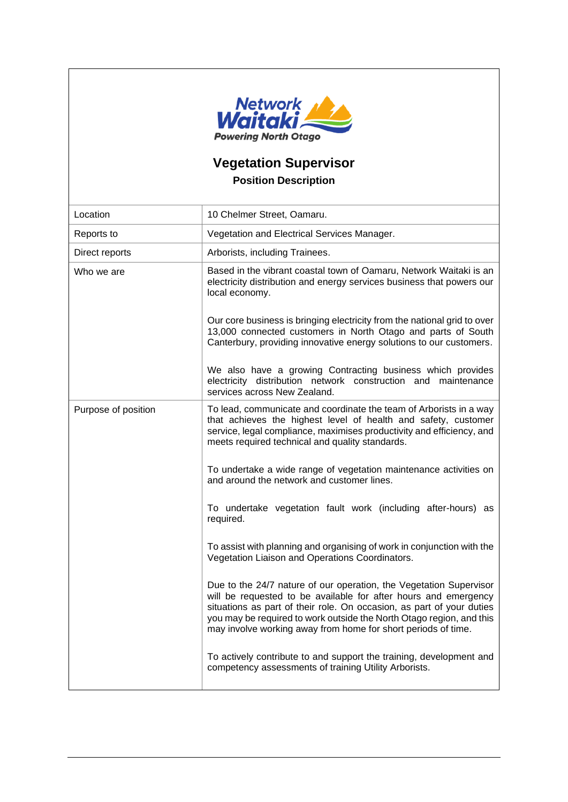

## **Vegetation Supervisor Position Description**

| Location            | 10 Chelmer Street, Oamaru.                                                                                                                                                                                                                                                                                                                              |
|---------------------|---------------------------------------------------------------------------------------------------------------------------------------------------------------------------------------------------------------------------------------------------------------------------------------------------------------------------------------------------------|
| Reports to          | Vegetation and Electrical Services Manager.                                                                                                                                                                                                                                                                                                             |
| Direct reports      | Arborists, including Trainees.                                                                                                                                                                                                                                                                                                                          |
| Who we are          | Based in the vibrant coastal town of Oamaru, Network Waitaki is an<br>electricity distribution and energy services business that powers our<br>local economy.                                                                                                                                                                                           |
|                     | Our core business is bringing electricity from the national grid to over<br>13,000 connected customers in North Otago and parts of South<br>Canterbury, providing innovative energy solutions to our customers.                                                                                                                                         |
|                     | We also have a growing Contracting business which provides<br>electricity distribution network construction and maintenance<br>services across New Zealand.                                                                                                                                                                                             |
| Purpose of position | To lead, communicate and coordinate the team of Arborists in a way<br>that achieves the highest level of health and safety, customer<br>service, legal compliance, maximises productivity and efficiency, and<br>meets required technical and quality standards.                                                                                        |
|                     | To undertake a wide range of vegetation maintenance activities on<br>and around the network and customer lines.                                                                                                                                                                                                                                         |
|                     | To undertake vegetation fault work (including after-hours) as<br>required.                                                                                                                                                                                                                                                                              |
|                     | To assist with planning and organising of work in conjunction with the<br>Vegetation Liaison and Operations Coordinators.                                                                                                                                                                                                                               |
|                     | Due to the 24/7 nature of our operation, the Vegetation Supervisor<br>will be requested to be available for after hours and emergency<br>situations as part of their role. On occasion, as part of your duties<br>you may be required to work outside the North Otago region, and this<br>may involve working away from home for short periods of time. |
|                     | To actively contribute to and support the training, development and<br>competency assessments of training Utility Arborists.                                                                                                                                                                                                                            |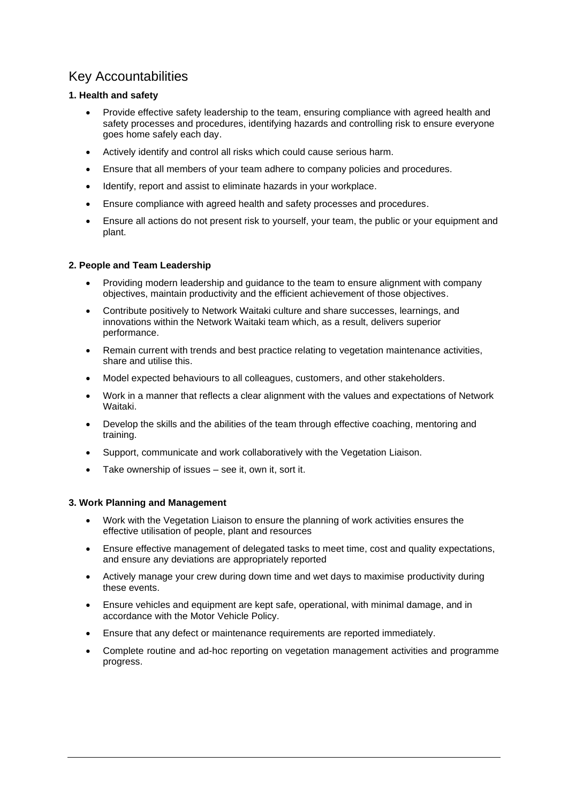### Key Accountabilities

#### **1. Health and safety**

- Provide effective safety leadership to the team, ensuring compliance with agreed health and safety processes and procedures, identifying hazards and controlling risk to ensure everyone goes home safely each day.
- Actively identify and control all risks which could cause serious harm.
- Ensure that all members of your team adhere to company policies and procedures.
- Identify, report and assist to eliminate hazards in your workplace.
- Ensure compliance with agreed health and safety processes and procedures.
- Ensure all actions do not present risk to yourself, your team, the public or your equipment and plant.

#### **2. People and Team Leadership**

- Providing modern leadership and guidance to the team to ensure alignment with company objectives, maintain productivity and the efficient achievement of those objectives.
- Contribute positively to Network Waitaki culture and share successes, learnings, and innovations within the Network Waitaki team which, as a result, delivers superior performance.
- Remain current with trends and best practice relating to vegetation maintenance activities, share and utilise this.
- Model expected behaviours to all colleagues, customers, and other stakeholders.
- Work in a manner that reflects a clear alignment with the values and expectations of Network Waitaki.
- Develop the skills and the abilities of the team through effective coaching, mentoring and training.
- Support, communicate and work collaboratively with the Vegetation Liaison.
- Take ownership of issues see it, own it, sort it.

#### **3. Work Planning and Management**

- Work with the Vegetation Liaison to ensure the planning of work activities ensures the effective utilisation of people, plant and resources
- Ensure effective management of delegated tasks to meet time, cost and quality expectations, and ensure any deviations are appropriately reported
- Actively manage your crew during down time and wet days to maximise productivity during these events.
- Ensure vehicles and equipment are kept safe, operational, with minimal damage, and in accordance with the Motor Vehicle Policy.
- Ensure that any defect or maintenance requirements are reported immediately.
- Complete routine and ad-hoc reporting on vegetation management activities and programme progress.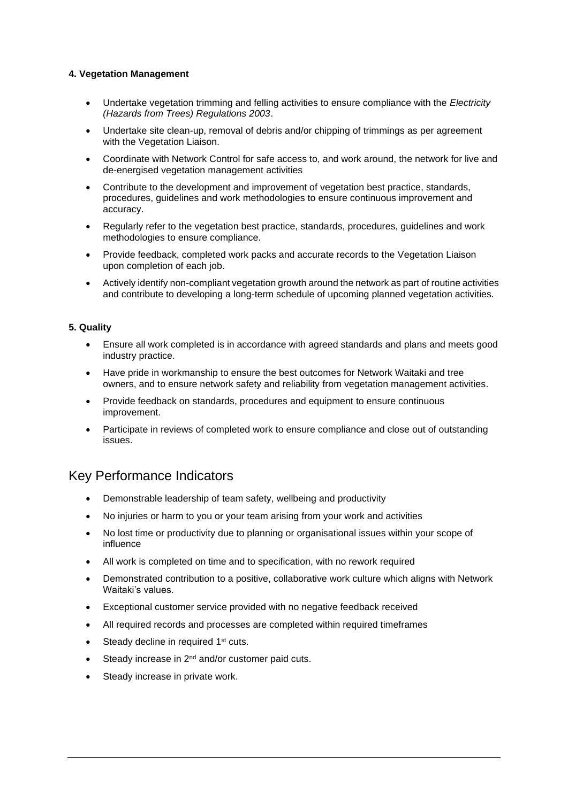#### **4. Vegetation Management**

- Undertake vegetation trimming and felling activities to ensure compliance with the *Electricity (Hazards from Trees) Regulations 2003*.
- Undertake site clean-up, removal of debris and/or chipping of trimmings as per agreement with the Vegetation Liaison.
- Coordinate with Network Control for safe access to, and work around, the network for live and de-energised vegetation management activities
- Contribute to the development and improvement of vegetation best practice, standards, procedures, guidelines and work methodologies to ensure continuous improvement and accuracy.
- Regularly refer to the vegetation best practice, standards, procedures, guidelines and work methodologies to ensure compliance.
- Provide feedback, completed work packs and accurate records to the Vegetation Liaison upon completion of each job.
- Actively identify non-compliant vegetation growth around the network as part of routine activities and contribute to developing a long-term schedule of upcoming planned vegetation activities.

#### **5. Quality**

- Ensure all work completed is in accordance with agreed standards and plans and meets good industry practice.
- Have pride in workmanship to ensure the best outcomes for Network Waitaki and tree owners, and to ensure network safety and reliability from vegetation management activities.
- Provide feedback on standards, procedures and equipment to ensure continuous improvement.
- Participate in reviews of completed work to ensure compliance and close out of outstanding issues.

### Key Performance Indicators

- Demonstrable leadership of team safety, wellbeing and productivity
- No injuries or harm to you or your team arising from your work and activities
- No lost time or productivity due to planning or organisational issues within your scope of influence
- All work is completed on time and to specification, with no rework required
- Demonstrated contribution to a positive, collaborative work culture which aligns with Network Waitaki's values.
- Exceptional customer service provided with no negative feedback received
- All required records and processes are completed within required timeframes
- Steady decline in required 1<sup>st</sup> cuts.
- $\bullet$  Steady increase in 2<sup>nd</sup> and/or customer paid cuts.
- Steady increase in private work.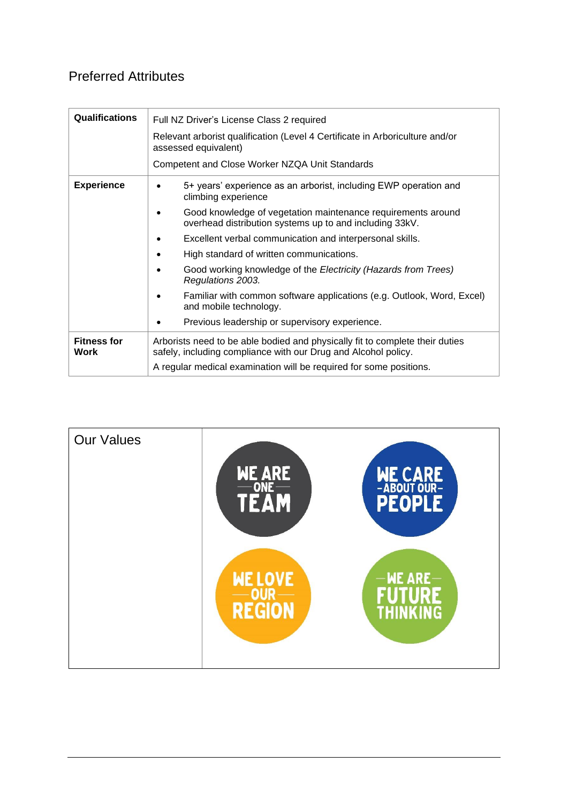## Preferred Attributes

| <b>Qualifications</b>      | Full NZ Driver's License Class 2 required                                                                                                      |  |
|----------------------------|------------------------------------------------------------------------------------------------------------------------------------------------|--|
|                            | Relevant arborist qualification (Level 4 Certificate in Arboriculture and/or<br>assessed equivalent)                                           |  |
|                            | Competent and Close Worker NZQA Unit Standards                                                                                                 |  |
| <b>Experience</b>          | 5+ years' experience as an arborist, including EWP operation and<br>climbing experience                                                        |  |
|                            | Good knowledge of vegetation maintenance requirements around<br>overhead distribution systems up to and including 33kV.                        |  |
|                            | Excellent verbal communication and interpersonal skills.                                                                                       |  |
|                            | High standard of written communications.                                                                                                       |  |
|                            | Good working knowledge of the Electricity (Hazards from Trees)<br>Regulations 2003.                                                            |  |
|                            | Familiar with common software applications (e.g. Outlook, Word, Excel)<br>and mobile technology.                                               |  |
|                            | Previous leadership or supervisory experience.                                                                                                 |  |
| <b>Fitness for</b><br>Work | Arborists need to be able bodied and physically fit to complete their duties<br>safely, including compliance with our Drug and Alcohol policy. |  |
|                            | A regular medical examination will be required for some positions.                                                                             |  |